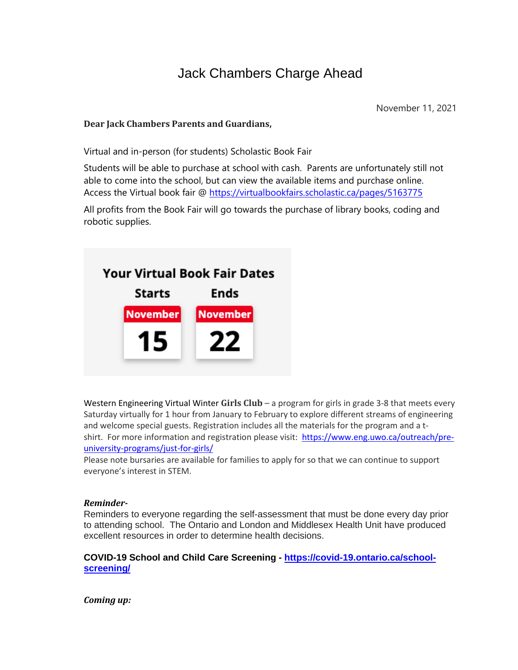## Jack Chambers Charge Ahead

November 11, 2021

## **Dear Jack Chambers Parents and Guardians,**

Virtual and in-person (for students) Scholastic Book Fair

Students will be able to purchase at school with cash. Parents are unfortunately still not able to come into the school, but can view the available items and purchase online. Access the Virtual book fair @ <https://virtualbookfairs.scholastic.ca/pages/5163775>

All profits from the Book Fair will go towards the purchase of library books, coding and robotic supplies.



Western Engineering Virtual Winter **Girls Club** – a program for girls in grade 3-8 that meets every Saturday virtually for 1 hour from January to February to explore different streams of engineering and welcome special guests. Registration includes all the materials for the program and a tshirt. For more information and registration please visit: [https://www.eng.uwo.ca/outreach/pre](https://www.eng.uwo.ca/outreach/pre-university-programs/just-for-girls/)[university-programs/just-for-girls/](https://www.eng.uwo.ca/outreach/pre-university-programs/just-for-girls/)

Please note bursaries are available for families to apply for so that we can continue to support everyone's interest in STEM.

## *Reminder-*

Reminders to everyone regarding the self-assessment that must be done every day prior to attending school. The Ontario and London and Middlesex Health Unit have produced excellent resources in order to determine health decisions.

## **COVID-19 School and Child Care Screening - [https://covid-19.ontario.ca/school](https://covid-19.ontario.ca/school-screening/)[screening/](https://covid-19.ontario.ca/school-screening/)**

*Coming up:*